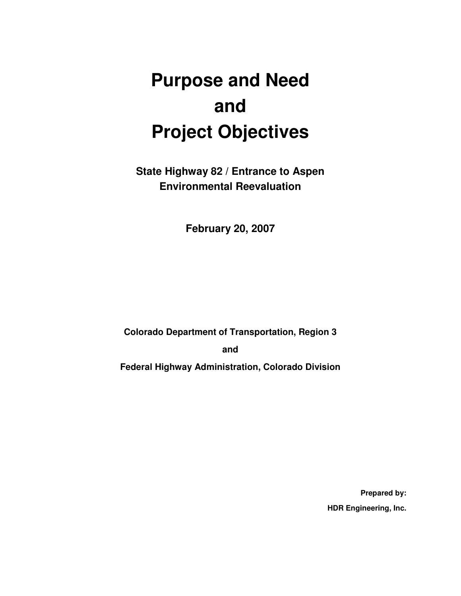# **Purpose and Need and Project Objectives**

**State Highway 82 / Entrance to Aspen Environmental Reevaluation** 

**February 20, 2007** 

**Colorado Department of Transportation, Region 3** 

**and** 

**Federal Highway Administration, Colorado Division** 

**Prepared by: HDR Engineering, Inc.**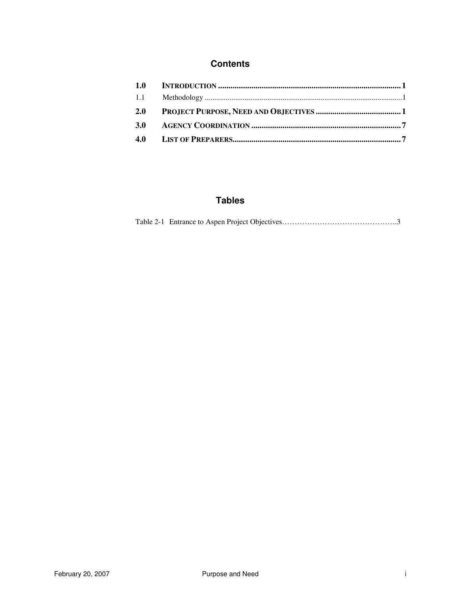#### **Contents**

| 1.0        |  |
|------------|--|
| 1.1        |  |
| 2.0        |  |
| <b>3.0</b> |  |
|            |  |

#### **Tables**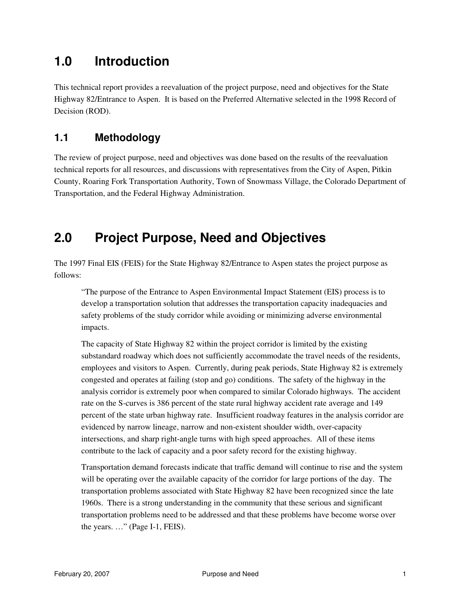## **1.0 Introduction**

This technical report provides a reevaluation of the project purpose, need and objectives for the State Highway 82/Entrance to Aspen. It is based on the Preferred Alternative selected in the 1998 Record of Decision (ROD).

#### **1.1 Methodology**

The review of project purpose, need and objectives was done based on the results of the reevaluation technical reports for all resources, and discussions with representatives from the City of Aspen, Pitkin County, Roaring Fork Transportation Authority, Town of Snowmass Village, the Colorado Department of Transportation, and the Federal Highway Administration.

# **2.0 Project Purpose, Need and Objectives**

The 1997 Final EIS (FEIS) for the State Highway 82/Entrance to Aspen states the project purpose as follows:

"The purpose of the Entrance to Aspen Environmental Impact Statement (EIS) process is to develop a transportation solution that addresses the transportation capacity inadequacies and safety problems of the study corridor while avoiding or minimizing adverse environmental impacts.

The capacity of State Highway 82 within the project corridor is limited by the existing substandard roadway which does not sufficiently accommodate the travel needs of the residents, employees and visitors to Aspen. Currently, during peak periods, State Highway 82 is extremely congested and operates at failing (stop and go) conditions. The safety of the highway in the analysis corridor is extremely poor when compared to similar Colorado highways. The accident rate on the S-curves is 386 percent of the state rural highway accident rate average and 149 percent of the state urban highway rate. Insufficient roadway features in the analysis corridor are evidenced by narrow lineage, narrow and non-existent shoulder width, over-capacity intersections, and sharp right-angle turns with high speed approaches. All of these items contribute to the lack of capacity and a poor safety record for the existing highway.

Transportation demand forecasts indicate that traffic demand will continue to rise and the system will be operating over the available capacity of the corridor for large portions of the day. The transportation problems associated with State Highway 82 have been recognized since the late 1960s. There is a strong understanding in the community that these serious and significant transportation problems need to be addressed and that these problems have become worse over the years. …" (Page I-1, FEIS).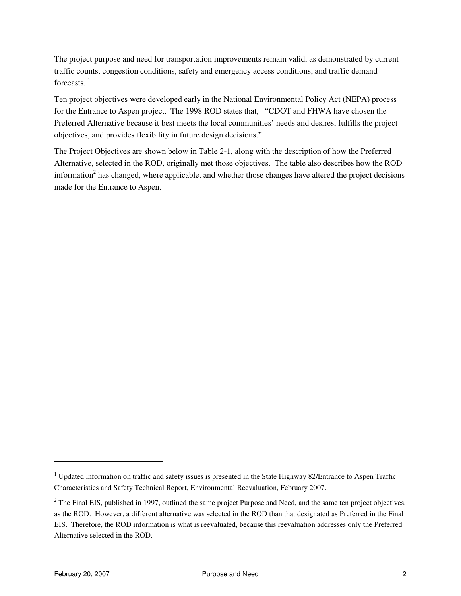The project purpose and need for transportation improvements remain valid, as demonstrated by current traffic counts, congestion conditions, safety and emergency access conditions, and traffic demand forecasts.  $<sup>1</sup>$ </sup>

Ten project objectives were developed early in the National Environmental Policy Act (NEPA) process for the Entrance to Aspen project. The 1998 ROD states that, "CDOT and FHWA have chosen the Preferred Alternative because it best meets the local communities' needs and desires, fulfills the project objectives, and provides flexibility in future design decisions."

The Project Objectives are shown below in Table 2-1, along with the description of how the Preferred Alternative, selected in the ROD, originally met those objectives. The table also describes how the ROD information<sup>2</sup> has changed, where applicable, and whether those changes have altered the project decisions made for the Entrance to Aspen.

 $\overline{a}$ 

<sup>&</sup>lt;sup>1</sup> Updated information on traffic and safety issues is presented in the State Highway 82/Entrance to Aspen Traffic Characteristics and Safety Technical Report, Environmental Reevaluation, February 2007.

 $2^2$  The Final EIS, published in 1997, outlined the same project Purpose and Need, and the same ten project objectives, as the ROD. However, a different alternative was selected in the ROD than that designated as Preferred in the Final EIS. Therefore, the ROD information is what is reevaluated, because this reevaluation addresses only the Preferred Alternative selected in the ROD.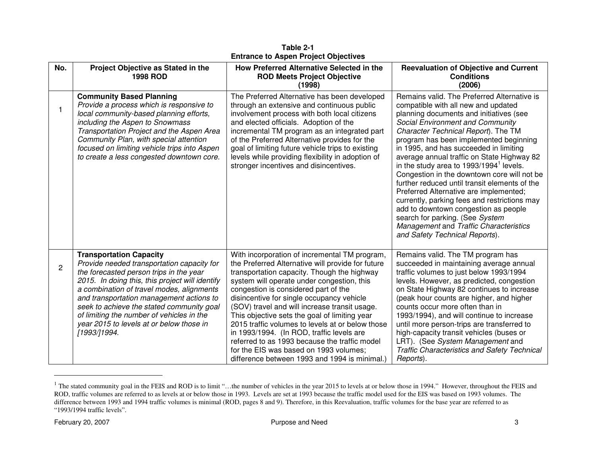| No.            | Project Objective as Stated in the<br><b>1998 ROD</b>                                                                                                                                                                                                                                                                                                                                                                     | How Preferred Alternative Selected in the<br><b>ROD Meets Project Objective</b><br>(1998)                                                                                                                                                                                                                                                                                                                                                                                                                                                                                                                                           | <b>Reevaluation of Objective and Current</b><br><b>Conditions</b><br>(2006)                                                                                                                                                                                                                                                                                                                                                                                                                                                                                                                                                                                                                                                                        |
|----------------|---------------------------------------------------------------------------------------------------------------------------------------------------------------------------------------------------------------------------------------------------------------------------------------------------------------------------------------------------------------------------------------------------------------------------|-------------------------------------------------------------------------------------------------------------------------------------------------------------------------------------------------------------------------------------------------------------------------------------------------------------------------------------------------------------------------------------------------------------------------------------------------------------------------------------------------------------------------------------------------------------------------------------------------------------------------------------|----------------------------------------------------------------------------------------------------------------------------------------------------------------------------------------------------------------------------------------------------------------------------------------------------------------------------------------------------------------------------------------------------------------------------------------------------------------------------------------------------------------------------------------------------------------------------------------------------------------------------------------------------------------------------------------------------------------------------------------------------|
|                | <b>Community Based Planning</b><br>Provide a process which is responsive to<br>local community-based planning efforts,<br>including the Aspen to Snowmass<br>Transportation Project and the Aspen Area<br>Community Plan, with special attention<br>focused on limiting vehicle trips into Aspen<br>to create a less congested downtown core.                                                                             | The Preferred Alternative has been developed<br>through an extensive and continuous public<br>involvement process with both local citizens<br>and elected officials. Adoption of the<br>incremental TM program as an integrated part<br>of the Preferred Alternative provides for the<br>goal of limiting future vehicle trips to existing<br>levels while providing flexibility in adoption of<br>stronger incentives and disincentives.                                                                                                                                                                                           | Remains valid. The Preferred Alternative is<br>compatible with all new and updated<br>planning documents and initiatives (see<br>Social Environment and Community<br>Character Technical Report). The TM<br>program has been implemented beginning<br>in 1995, and has succeeded in limiting<br>average annual traffic on State Highway 82<br>in the study area to 1993/1994 <sup>1</sup> levels.<br>Congestion in the downtown core will not be<br>further reduced until transit elements of the<br>Preferred Alternative are implemented;<br>currently, parking fees and restrictions may<br>add to downtown congestion as people<br>search for parking. (See System<br>Management and Traffic Characteristics<br>and Safety Technical Reports). |
| $\overline{c}$ | <b>Transportation Capacity</b><br>Provide needed transportation capacity for<br>the forecasted person trips in the year<br>2015. In doing this, this project will identify<br>a combination of travel modes, alignments<br>and transportation management actions to<br>seek to achieve the stated community goal<br>of limiting the number of vehicles in the<br>year 2015 to levels at or below those in<br>[1993/]1994. | With incorporation of incremental TM program,<br>the Preferred Alternative will provide for future<br>transportation capacity. Though the highway<br>system will operate under congestion, this<br>congestion is considered part of the<br>disincentive for single occupancy vehicle<br>(SOV) travel and will increase transit usage.<br>This objective sets the goal of limiting year<br>2015 traffic volumes to levels at or below those<br>in 1993/1994. (In ROD, traffic levels are<br>referred to as 1993 because the traffic model<br>for the EIS was based on 1993 volumes;<br>difference between 1993 and 1994 is minimal.) | Remains valid. The TM program has<br>succeeded in maintaining average annual<br>traffic volumes to just below 1993/1994<br>levels. However, as predicted, congestion<br>on State Highway 82 continues to increase<br>(peak hour counts are higher, and higher<br>counts occur more often than in<br>1993/1994), and will continue to increase<br>until more person-trips are transferred to<br>high-capacity transit vehicles (buses or<br>LRT). (See System Management and<br><b>Traffic Characteristics and Safety Technical</b><br>Reports).                                                                                                                                                                                                    |

**Table 2-1 Entrance to Aspen Project Objectives** 

<sup>&</sup>lt;sup>1</sup> The stated community goal in the FEIS and ROD is to limit "...the number of vehicles in the year 2015 to levels at or below those in 1994." However, throughout the FEIS and ROD, traffic volumes are referred to as levels at or below those in 1993. Levels are set at 1993 because the traffic model used for the EIS was based on 1993 volumes. The difference between 1993 and 1994 traffic volumes is minimal (ROD, pages 8 and 9). Therefore, in this Reevaluation, traffic volumes for the base year are referred to as "1993/1994 traffic levels".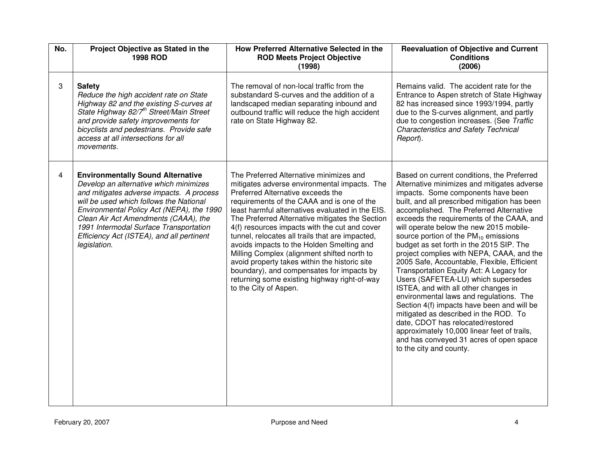| No. | Project Objective as Stated in the<br><b>1998 ROD</b>                                                                                                                                                                                                                                                                                                                 | How Preferred Alternative Selected in the<br><b>ROD Meets Project Objective</b><br>(1998)                                                                                                                                                                                                                                                                                                                                                                                                                                                                                                                                                                | <b>Reevaluation of Objective and Current</b><br><b>Conditions</b><br>(2006)                                                                                                                                                                                                                                                                                                                                                                                                                                                                                                                                                                                                                                                                                                                                                                                                                                                    |
|-----|-----------------------------------------------------------------------------------------------------------------------------------------------------------------------------------------------------------------------------------------------------------------------------------------------------------------------------------------------------------------------|----------------------------------------------------------------------------------------------------------------------------------------------------------------------------------------------------------------------------------------------------------------------------------------------------------------------------------------------------------------------------------------------------------------------------------------------------------------------------------------------------------------------------------------------------------------------------------------------------------------------------------------------------------|--------------------------------------------------------------------------------------------------------------------------------------------------------------------------------------------------------------------------------------------------------------------------------------------------------------------------------------------------------------------------------------------------------------------------------------------------------------------------------------------------------------------------------------------------------------------------------------------------------------------------------------------------------------------------------------------------------------------------------------------------------------------------------------------------------------------------------------------------------------------------------------------------------------------------------|
| 3   | <b>Safety</b><br>Reduce the high accident rate on State<br>Highway 82 and the existing S-curves at<br>State Highway 82/7 <sup>th</sup> Street/Main Street<br>and provide safety improvements for<br>bicyclists and pedestrians. Provide safe<br>access at all intersections for all<br>movements.                                                                     | The removal of non-local traffic from the<br>substandard S-curves and the addition of a<br>landscaped median separating inbound and<br>outbound traffic will reduce the high accident<br>rate on State Highway 82.                                                                                                                                                                                                                                                                                                                                                                                                                                       | Remains valid. The accident rate for the<br>Entrance to Aspen stretch of State Highway<br>82 has increased since 1993/1994, partly<br>due to the S-curves alignment, and partly<br>due to congestion increases. (See Traffic<br><b>Characteristics and Safety Technical</b><br>Report).                                                                                                                                                                                                                                                                                                                                                                                                                                                                                                                                                                                                                                        |
| 4   | <b>Environmentally Sound Alternative</b><br>Develop an alternative which minimizes<br>and mitigates adverse impacts. A process<br>will be used which follows the National<br>Environmental Policy Act (NEPA), the 1990<br>Clean Air Act Amendments (CAAA), the<br>1991 Intermodal Surface Transportation<br>Efficiency Act (ISTEA), and all pertinent<br>legislation. | The Preferred Alternative minimizes and<br>mitigates adverse environmental impacts. The<br>Preferred Alternative exceeds the<br>requirements of the CAAA and is one of the<br>least harmful alternatives evaluated in the EIS.<br>The Preferred Alternative mitigates the Section<br>4(f) resources impacts with the cut and cover<br>tunnel, relocates all trails that are impacted,<br>avoids impacts to the Holden Smelting and<br>Milling Complex (alignment shifted north to<br>avoid property takes within the historic site<br>boundary), and compensates for impacts by<br>returning some existing highway right-of-way<br>to the City of Aspen. | Based on current conditions, the Preferred<br>Alternative minimizes and mitigates adverse<br>impacts. Some components have been<br>built, and all prescribed mitigation has been<br>accomplished. The Preferred Alternative<br>exceeds the requirements of the CAAA, and<br>will operate below the new 2015 mobile-<br>source portion of the $PM_{10}$ emissions<br>budget as set forth in the 2015 SIP. The<br>project complies with NEPA, CAAA, and the<br>2005 Safe, Accountable, Flexible, Efficient<br>Transportation Equity Act: A Legacy for<br>Users (SAFETEA-LU) which supersedes<br>ISTEA, and with all other changes in<br>environmental laws and regulations. The<br>Section 4(f) impacts have been and will be<br>mitigated as described in the ROD. To<br>date, CDOT has relocated/restored<br>approximately 10,000 linear feet of trails,<br>and has conveyed 31 acres of open space<br>to the city and county. |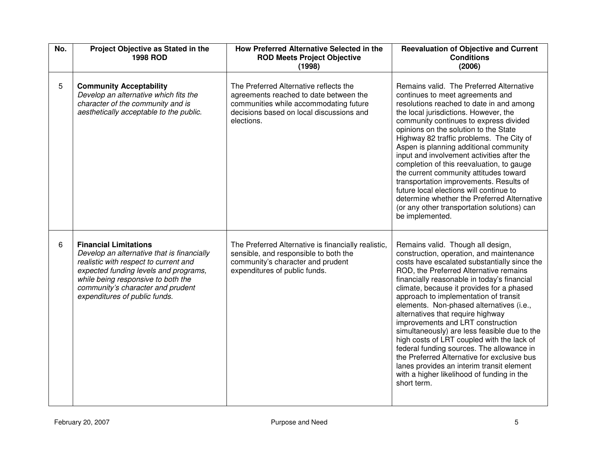| No. | Project Objective as Stated in the<br><b>1998 ROD</b>                                                                                                                                                                                                                    | How Preferred Alternative Selected in the<br><b>ROD Meets Project Objective</b><br>(1998)                                                                                            | <b>Reevaluation of Objective and Current</b><br><b>Conditions</b><br>(2006)                                                                                                                                                                                                                                                                                                                                                                                                                                                                                                                                                                                                                                                            |
|-----|--------------------------------------------------------------------------------------------------------------------------------------------------------------------------------------------------------------------------------------------------------------------------|--------------------------------------------------------------------------------------------------------------------------------------------------------------------------------------|----------------------------------------------------------------------------------------------------------------------------------------------------------------------------------------------------------------------------------------------------------------------------------------------------------------------------------------------------------------------------------------------------------------------------------------------------------------------------------------------------------------------------------------------------------------------------------------------------------------------------------------------------------------------------------------------------------------------------------------|
| 5   | <b>Community Acceptability</b><br>Develop an alternative which fits the<br>character of the community and is<br>aesthetically acceptable to the public.                                                                                                                  | The Preferred Alternative reflects the<br>agreements reached to date between the<br>communities while accommodating future<br>decisions based on local discussions and<br>elections. | Remains valid. The Preferred Alternative<br>continues to meet agreements and<br>resolutions reached to date in and among<br>the local jurisdictions. However, the<br>community continues to express divided<br>opinions on the solution to the State<br>Highway 82 traffic problems. The City of<br>Aspen is planning additional community<br>input and involvement activities after the<br>completion of this reevaluation, to gauge<br>the current community attitudes toward<br>transportation improvements. Results of<br>future local elections will continue to<br>determine whether the Preferred Alternative<br>(or any other transportation solutions) can<br>be implemented.                                                 |
| 6   | <b>Financial Limitations</b><br>Develop an alternative that is financially<br>realistic with respect to current and<br>expected funding levels and programs,<br>while being responsive to both the<br>community's character and prudent<br>expenditures of public funds. | The Preferred Alternative is financially realistic,<br>sensible, and responsible to both the<br>community's character and prudent<br>expenditures of public funds.                   | Remains valid. Though all design,<br>construction, operation, and maintenance<br>costs have escalated substantially since the<br>ROD, the Preferred Alternative remains<br>financially reasonable in today's financial<br>climate, because it provides for a phased<br>approach to implementation of transit<br>elements. Non-phased alternatives (i.e.,<br>alternatives that require highway<br>improvements and LRT construction<br>simultaneously) are less feasible due to the<br>high costs of LRT coupled with the lack of<br>federal funding sources. The allowance in<br>the Preferred Alternative for exclusive bus<br>lanes provides an interim transit element<br>with a higher likelihood of funding in the<br>short term. |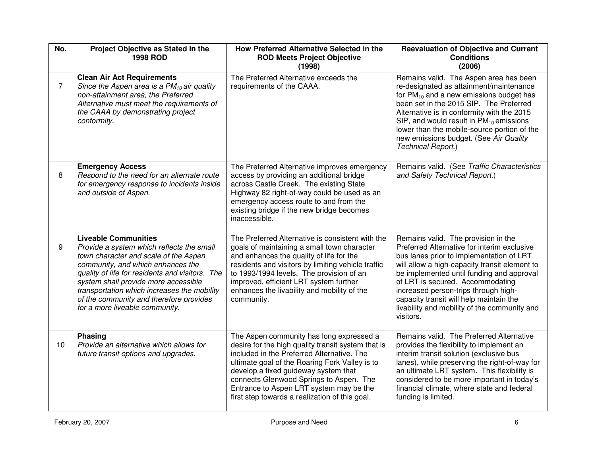| No.            | Project Objective as Stated in the<br><b>1998 ROD</b>                                                                                                                                                                                                                                                                                                                         | How Preferred Alternative Selected in the<br><b>ROD Meets Project Objective</b><br>(1998)                                                                                                                                                                                                                                                                                      | <b>Reevaluation of Objective and Current</b><br><b>Conditions</b><br>(2006)                                                                                                                                                                                                                                                                                                                                      |
|----------------|-------------------------------------------------------------------------------------------------------------------------------------------------------------------------------------------------------------------------------------------------------------------------------------------------------------------------------------------------------------------------------|--------------------------------------------------------------------------------------------------------------------------------------------------------------------------------------------------------------------------------------------------------------------------------------------------------------------------------------------------------------------------------|------------------------------------------------------------------------------------------------------------------------------------------------------------------------------------------------------------------------------------------------------------------------------------------------------------------------------------------------------------------------------------------------------------------|
| $\overline{7}$ | <b>Clean Air Act Requirements</b><br>Since the Aspen area is a $PM_{10}$ air quality<br>non-attainment area, the Preferred<br>Alternative must meet the requirements of<br>the CAAA by demonstrating project<br>conformity.                                                                                                                                                   | The Preferred Alternative exceeds the<br>requirements of the CAAA.                                                                                                                                                                                                                                                                                                             | Remains valid. The Aspen area has been<br>re-designated as attainment/maintenance<br>for $PM_{10}$ and a new emissions budget has<br>been set in the 2015 SIP. The Preferred<br>Alternative is in conformity with the 2015<br>SIP, and would result in $PM_{10}$ emissions<br>lower than the mobile-source portion of the<br>new emissions budget. (See Air Quality<br>Technical Report.)                        |
| 8              | <b>Emergency Access</b><br>Respond to the need for an alternate route<br>for emergency response to incidents inside<br>and outside of Aspen.                                                                                                                                                                                                                                  | The Preferred Alternative improves emergency<br>access by providing an additional bridge<br>across Castle Creek. The existing State<br>Highway 82 right-of-way could be used as an<br>emergency access route to and from the<br>existing bridge if the new bridge becomes<br>inaccessible.                                                                                     | Remains valid. (See Traffic Characteristics<br>and Safety Technical Report.)                                                                                                                                                                                                                                                                                                                                     |
| 9              | <b>Liveable Communities</b><br>Provide a system which reflects the small<br>town character and scale of the Aspen<br>community, and which enhances the<br>quality of life for residents and visitors. The<br>system shall provide more accessible<br>transportation which increases the mobility<br>of the community and therefore provides<br>for a more liveable community. | The Preferred Alternative is consistent with the<br>goals of maintaining a small town character<br>and enhances the quality of life for the<br>residents and visitors by limiting vehicle traffic<br>to 1993/1994 levels. The provision of an<br>improved, efficient LRT system further<br>enhances the livability and mobility of the<br>community.                           | Remains valid. The provision in the<br>Preferred Alternative for interim exclusive<br>bus lanes prior to implementation of LRT<br>will allow a high-capacity transit element to<br>be implemented until funding and approval<br>of LRT is secured. Accommodating<br>increased person-trips through high-<br>capacity transit will help maintain the<br>livability and mobility of the community and<br>visitors. |
| 10             | <b>Phasing</b><br>Provide an alternative which allows for<br>future transit options and upgrades.                                                                                                                                                                                                                                                                             | The Aspen community has long expressed a<br>desire for the high quality transit system that is<br>included in the Preferred Alternative. The<br>ultimate goal of the Roaring Fork Valley is to<br>develop a fixed guideway system that<br>connects Glenwood Springs to Aspen. The<br>Entrance to Aspen LRT system may be the<br>first step towards a realization of this goal. | Remains valid. The Preferred Alternative<br>provides the flexibility to implement an<br>interim transit solution (exclusive bus<br>lanes), while preserving the right-of-way for<br>an ultimate LRT system. This flexibility is<br>considered to be more important in today's<br>financial climate, where state and federal<br>funding is limited.                                                               |